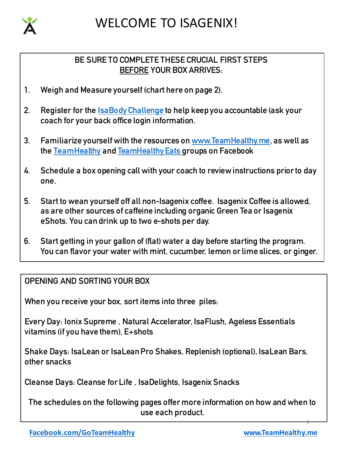

## WELCOME TO ISAGENIX!

#### **BE SURE TO COMPLETE THESE CRUCIAL FIRST STEPS BEFORE YOUR BOX ARRIVES:**

- **1. Weigh and Measure yourself (chart here on page 2).**
- **2. Register for the IsaBody Challenge to help keep you accountable (ask your coach for your back office login information.**
- **3. Familiarize yourself with the resources on www.TeamHealthy.me, as well as the TeamHealthy and TeamHealthy Eats groups on Facebook**
- **4. Schedule a box opening call with your coach to review instructions prior to day one.**
- **5. Start to wean yourself off all non-Isagenix coffee. Isagenix Coffee is allowed, as are other sources of caffeine including organic Green Tea or Isagenix eShots. You can drink up to two e-shots per day.**
- **6. Start getting in your gallon of (flat) water a day before starting the program. You can flavor your water with mint, cucumber, lemon or lime slices, or ginger.**

#### **OPENING AND SORTING YOUR BOX**

**When you receive your box, sort items into three piles:**

**Every Day: Ionix Supreme , Natural Accelerator, IsaFlush, Ageless Essentials vitamins (if you have them), E+shots**

**Shake Days: IsaLean or IsaLeanPro Shakes, Replenish (optional), IsaLean Bars, other snacks**

**Cleanse Days: Cleanse for Life , IsaDelights, Isagenix Snacks**

**The schedules on the following pages offer more information on how and when to use each product.** 

1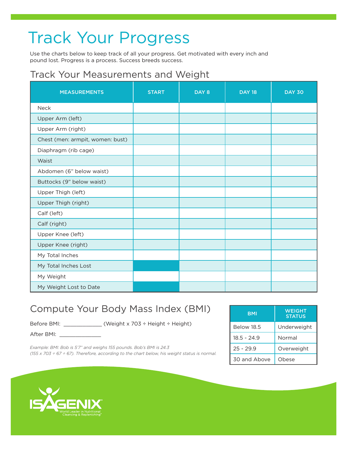# Track Your Progress

Use the charts below to keep track of all your progress. Get motivated with every inch and pound lost. Progress is a process. Success breeds success.

### Track Your Measurements and Weight

| <b>MEASUREMENTS</b>              | <b>START</b> | DAY 8 | <b>DAY 18</b> | <b>DAY 30</b> |
|----------------------------------|--------------|-------|---------------|---------------|
| <b>Neck</b>                      |              |       |               |               |
| Upper Arm (left)                 |              |       |               |               |
| Upper Arm (right)                |              |       |               |               |
| Chest (men: armpit, women: bust) |              |       |               |               |
| Diaphragm (rib cage)             |              |       |               |               |
| Waist                            |              |       |               |               |
| Abdomen (6" below waist)         |              |       |               |               |
| Buttocks (9" below waist)        |              |       |               |               |
| Upper Thigh (left)               |              |       |               |               |
| Upper Thigh (right)              |              |       |               |               |
| Calf (left)                      |              |       |               |               |
| Calf (right)                     |              |       |               |               |
| Upper Knee (left)                |              |       |               |               |
| Upper Knee (right)               |              |       |               |               |
| My Total Inches                  |              |       |               |               |
| My Total Inches Lost             |              |       |               |               |
| My Weight                        |              |       |               |               |
| My Weight Lost to Date           |              |       |               |               |

### Compute Your Body Mass Index (BMI)

Before BMI: \_\_\_\_\_\_\_\_\_\_\_\_ (Weight x 703 ÷ Height ÷ Height)

After BMI: \_\_\_\_\_

*Example: BMI: Bob is 5'7" and weighs 155 pounds. Bob's BMI is 24.3 (155 x 703 ÷ 67 ÷ 67). Therefore, according to the chart below, his weight status is normal.* 

| <b>BMI</b>        | WEIGHT<br><b>STATUS</b> |
|-------------------|-------------------------|
| <b>Below 18.5</b> | Underweight             |
| 18.5 - 24.9       | Normal                  |
| $25 - 29.9$       | Overweight              |
| 30 and Above      | Obese                   |

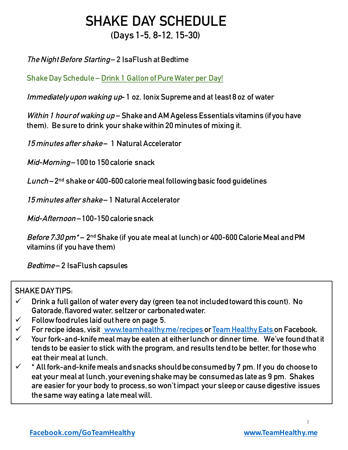### **SHAKE DAY SCHEDULE (Days 1-5, 8-12, 15-30)**

#### **The Night Before Starting – 2 IsaFlush at Bedtime**

**Shake Day Schedule – Drink 1 Gallon of Pure Water per Day!**

**Immediately upon waking up- 1 oz. Ionix Supreme and at least 8 oz of water**

**Within 1 hour of waking up – Shake and AM Ageless Essentials vitamins (if you have them). Be sure to drink your shake within 20 minutes of mixing it.** 

**15 minutes after shake – 1 Natural Accelerator**

**Mid-Morning– 100 to 150 calorie snack**

**Lunch – 2nd shake or 400-600 calorie meal following basic food guidelines**

**15 minutes after shake – 1 Natural Accelerator**

**Mid-Afternoon – 100-150 calorie snack**

**Before 7:30 pm\* – 2nd Shake (if you ate meal at lunch) or 400-600 Calorie Meal and PM vitamins (if you have them)**

**Bedtime – 2 IsaFlush capsules**

#### **SHAKE DAY TIPS:**

- ü **Drink a full gallon of water every day (green tea not included toward this count). No Gatorade, flavored water, seltzer or carbonated water.**
- ü **Follow food rules laid out here on page 5.**
- ü **For recipe ideas, visit www.teamhealthy.me/recipes or Team Healthy Eats on Facebook.**
- ü **Your fork-and-knife meal may be eaten at either lunch or dinner time. We've found that it tends to be easier to stick with the program, and results tend to be better, for those who eat their meal at lunch.**
- ü **\* All fork-and-knife meals and snacks should be consumed by 7 pm. If you do choose to eat your meal at lunch, your evening shake may be consumed as late as 9 pm. Shakes are easier for your body to process, so won't impact your sleep or cause digestive issues the same way eating a late meal will.**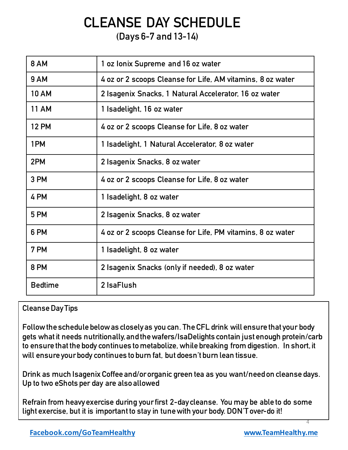## **CLEANSE DAY SCHEDULE**

#### **(Days 6-7 and 13-14)**

| <b>8 AM</b>    | 1 oz Ionix Supreme and 16 oz water                         |
|----------------|------------------------------------------------------------|
| <b>9 AM</b>    | 4 oz or 2 scoops Cleanse for Life, AM vitamins, 8 oz water |
| <b>10 AM</b>   | 2 Isagenix Snacks, 1 Natural Accelerator, 16 oz water      |
| <b>11 AM</b>   | 1 Isadelight, 16 oz water                                  |
| <b>12 PM</b>   | 4 oz or 2 scoops Cleanse for Life, 8 oz water              |
| 1PM            | 1 Isadelight, 1 Natural Accelerator, 8 oz water            |
| 2PM            | 2 Isagenix Snacks, 8 oz water                              |
| 3 PM           | 4 oz or 2 scoops Cleanse for Life, 8 oz water              |
| 4 PM           | 1 Isadelight, 8 oz water                                   |
| 5 PM           | 2 Isagenix Snacks, 8 oz water                              |
| 6 PM           | 4 oz or 2 scoops Cleanse for Life, PM vitamins, 8 oz water |
| 7 PM           | 1 Isadelight, 8 oz water                                   |
| 8 PM           | 2 Isagenix Snacks (only if needed), 8 oz water             |
| <b>Bedtime</b> | 2 IsaFlush                                                 |

#### **Cleanse Day Tips**

**Follow the schedule belowas closely as you can. The CFL drink will ensure that your body gets what it needs nutritionally, and the wafers/IsaDelights contain just enough protein/carb to ensure that the body continues to metabolize, while breaking from digestion. In short, it will ensure your body continues to burn fat, but doesn't burn lean tissue.**

**Drink as much Isagenix Coffee and/or organic green tea as you want/need on cleanse days. Up to two eShots per day are also allowed**

**Refrain from heavy exercise during your first 2-day cleanse. You may be able to do some light exercise, but it is important to stay in tune with your body. DON'T over-do it!**

4